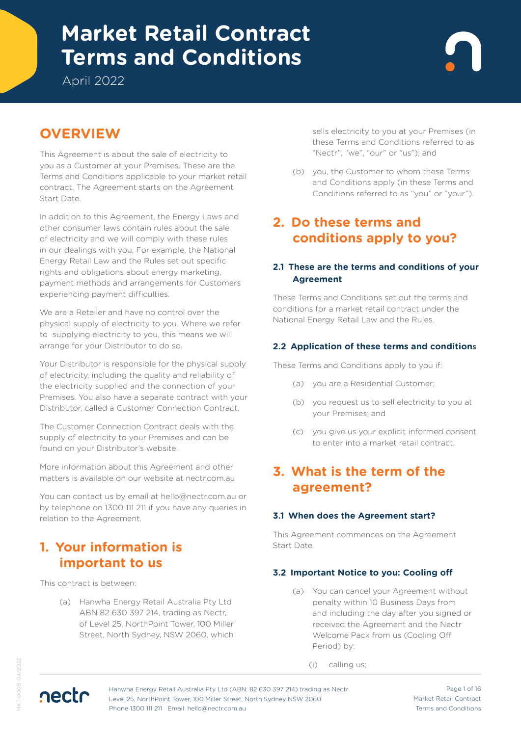# **Terms and Conditions Market Retail Contract**

April 2022

# **OVERVIEW**

This Agreement is about the sale of electricity to you as a Customer at your Premises. These are the Terms and Conditions applicable to your market retail contract. The Agreement starts on the Agreement Start Date.

In addition to this Agreement, the Energy Laws and other consumer laws contain rules about the sale of electricity and we will comply with these rules in our dealings with you. For example, the National Energy Retail Law and the Rules set out specific rights and obligations about energy marketing, payment methods and arrangements for Customers experiencing payment difficulties.

We are a Retailer and have no control over the physical supply of electricity to you. Where we refer to supplying electricity to you, this means we will arrange for your Distributor to do so.

Your Distributor is responsible for the physical supply of electricity, including the quality and reliability of the electricity supplied and the connection of your Premises. You also have a separate contract with your Distributor, called a Customer Connection Contract.

The Customer Connection Contract deals with the supply of electricity to your Premises and can be found on your Distributor's website.

More information about this Agreement and other matters is available on our website at nectr.com.au

You can contact us by email at hello@nectr.com.au or by telephone on 1300 111 211 if you have any queries in relation to the Agreement.

# **1. Your information is important to us**

This contract is between:

(a) Hanwha Energy Retail Australia Pty Ltd ABN 82 630 397 214, trading as Nectr, of Level 25, NorthPoint Tower, 100 Miller Street, North Sydney, NSW 2060, which sells electricity to you at your Premises (in these Terms and Conditions referred to as "Nectr", "we", "our" or "us"); and

(b) you, the Customer to whom these Terms and Conditions apply (in these Terms and Conditions referred to as "you" or "your").

# **2. Do these terms and conditions apply to you?**

### **2.1 These are the terms and conditions of your Agreement**

These Terms and Conditions set out the terms and conditions for a market retail contract under the National Energy Retail Law and the Rules.

### **2.2 Application of these terms and conditions**

These Terms and Conditions apply to you if:

- (a) you are a Residential Customer;
- (b) you request us to sell electricity to you at your Premises; and
- (c) you give us your explicit informed consent to enter into a market retail contract.

### **3. What is the term of the agreement?**

### **3.1 When does the Agreement start?**

This Agreement commences on the Agreement Start Date.

### **3.2 Important Notice to you: Cooling off**

(a) You can cancel your Agreement without penalty within 10 Business Days from and including the day after you signed or received the Agreement and the Nectr Welcome Pack from us (Cooling Off Period) by:

(i) calling us;

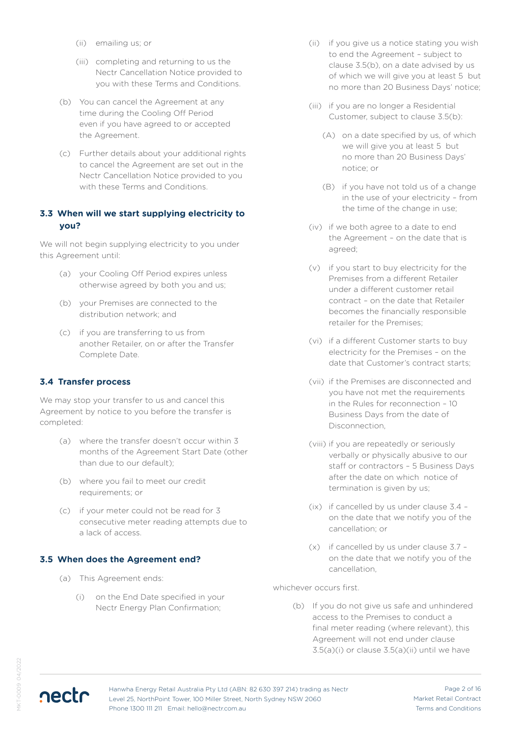- (ii) emailing us; or
- (iii) completing and returning to us the Nectr Cancellation Notice provided to you with these Terms and Conditions.
- (b) You can cancel the Agreement at any time during the Cooling Off Period even if you have agreed to or accepted the Agreement.
- (c) Further details about your additional rights to cancel the Agreement are set out in the Nectr Cancellation Notice provided to you with these Terms and Conditions.

### **3.3 When will we start supplying electricity to you?**

We will not begin supplying electricity to you under this Agreement until:

- (a) your Cooling Off Period expires unless otherwise agreed by both you and us;
- (b) your Premises are connected to the distribution network; and
- (c) if you are transferring to us from another Retailer, on or after the Transfer Complete Date.

#### **3.4 Transfer process**

We may stop your transfer to us and cancel this Agreement by notice to you before the transfer is completed:

- (a) where the transfer doesn't occur within 3 months of the Agreement Start Date (other than due to our default);
- (b) where you fail to meet our credit requirements; or
- (c) if your meter could not be read for 3 consecutive meter reading attempts due to a lack of access.

#### **3.5 When does the Agreement end?**

- (a) This Agreement ends:
	- (i) on the End Date specified in your Nectr Energy Plan Confirmation;
- (ii) if you give us a notice stating you wish to end the Agreement – subject to clause 3.5(b), on a date advised by us of which we will give you at least 5 but no more than 20 Business Days' notice;
- (iii) if you are no longer a Residential Customer, subject to clause 3.5(b):
	- (A) on a date specified by us, of which we will give you at least 5 but no more than 20 Business Days' notice; or
	- (B) if you have not told us of a change in the use of your electricity – from the time of the change in use;
- (iv) if we both agree to a date to end the Agreement – on the date that is agreed;
- (v) if you start to buy electricity for the Premises from a different Retailer under a different customer retail contract – on the date that Retailer becomes the financially responsible retailer for the Premises;
- (vi) if a different Customer starts to buy electricity for the Premises – on the date that Customer's contract starts;
- (vii) if the Premises are disconnected and you have not met the requirements in the Rules for reconnection – 10 Business Days from the date of Disconnection,
- (viii) if you are repeatedly or seriously verbally or physically abusive to our staff or contractors – 5 Business Days after the date on which notice of termination is given by us;
- (ix) if cancelled by us under clause 3.4 on the date that we notify you of the cancellation; or
- (x) if cancelled by us under clause 3.7 on the date that we notify you of the cancellation,

whichever occurs first.

(b) If you do not give us safe and unhindered access to the Premises to conduct a final meter reading (where relevant), this Agreement will not end under clause  $3.5(a)(i)$  or clause  $3.5(a)(ii)$  until we have

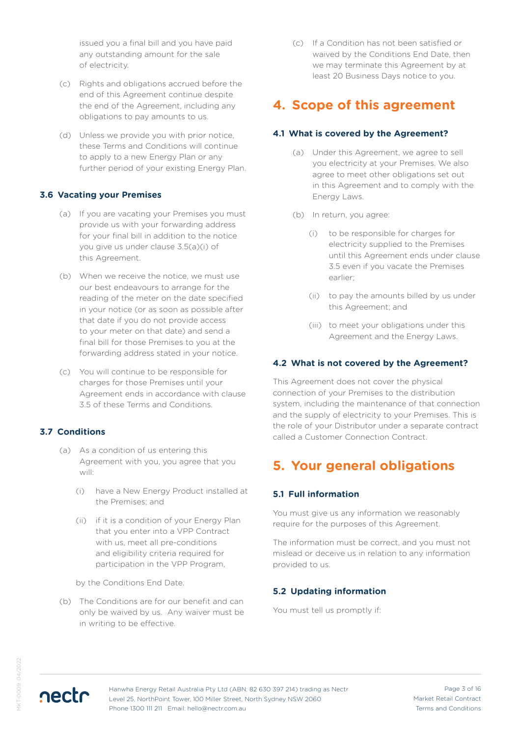issued you a final bill and you have paid any outstanding amount for the sale of electricity.

- (c) Rights and obligations accrued before the end of this Agreement continue despite the end of the Agreement, including any obligations to pay amounts to us.
- (d) Unless we provide you with prior notice, these Terms and Conditions will continue to apply to a new Energy Plan or any further period of your existing Energy Plan.

#### **3.6 Vacating your Premises**

- (a) If you are vacating your Premises you must provide us with your forwarding address for your final bill in addition to the notice you give us under clause 3.5(a)(i) of this Agreement.
- (b) When we receive the notice, we must use our best endeavours to arrange for the reading of the meter on the date specified in your notice (or as soon as possible after that date if you do not provide access to your meter on that date) and send a final bill for those Premises to you at the forwarding address stated in your notice.
- (c) You will continue to be responsible for charges for those Premises until your Agreement ends in accordance with clause 3.5 of these Terms and Conditions.

#### **3.7 Conditions**

- (a) As a condition of us entering this Agreement with you, you agree that you will:
	- (i) have a New Energy Product installed at the Premises; and
	- (ii) if it is a condition of your Energy Plan that you enter into a VPP Contract with us, meet all pre-conditions and eligibility criteria required for participation in the VPP Program,

by the Conditions End Date.

(b) The Conditions are for our benefit and can only be waived by us. Any waiver must be in writing to be effective.

(c) If a Condition has not been satisfied or waived by the Conditions End Date, then we may terminate this Agreement by at least 20 Business Days notice to you.

## **4. Scope of this agreement**

#### **4.1 What is covered by the Agreement?**

- (a) Under this Agreement, we agree to sell you electricity at your Premises. We also agree to meet other obligations set out in this Agreement and to comply with the Energy Laws.
- (b) In return, you agree:
	- (i) to be responsible for charges for electricity supplied to the Premises until this Agreement ends under clause 3.5 even if you vacate the Premises earlier;
	- (ii) to pay the amounts billed by us under this Agreement; and
	- (iii) to meet your obligations under this Agreement and the Energy Laws.

#### **4.2 What is not covered by the Agreement?**

This Agreement does not cover the physical connection of your Premises to the distribution system, including the maintenance of that connection and the supply of electricity to your Premises. This is the role of your Distributor under a separate contract called a Customer Connection Contract.

### **5. Your general obligations**

#### **5.1 Full information**

You must give us any information we reasonably require for the purposes of this Agreement.

The information must be correct, and you must not mislead or deceive us in relation to any information provided to us.

#### **5.2 Updating information**

You must tell us promptly if:

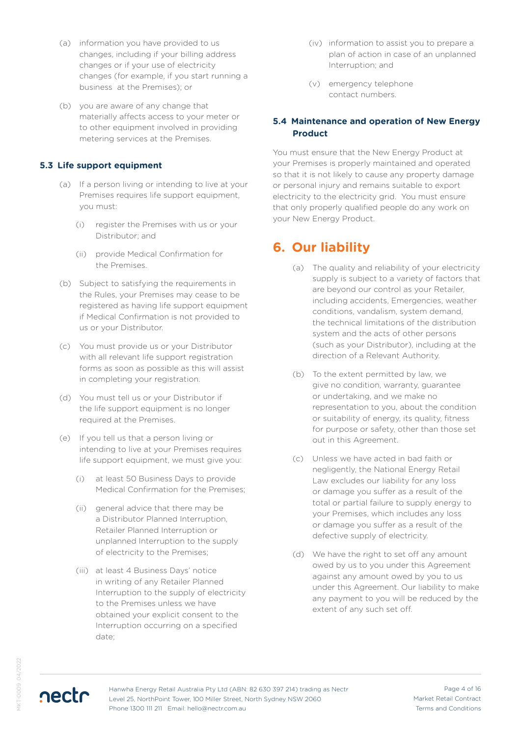- (a) information you have provided to us changes, including if your billing address changes or if your use of electricity changes (for example, if you start running a business at the Premises); or
- (b) you are aware of any change that materially affects access to your meter or to other equipment involved in providing metering services at the Premises.

#### **5.3 Life support equipment**

- (a) If a person living or intending to live at your Premises requires life support equipment, you must:
	- (i) register the Premises with us or your Distributor; and
	- (ii) provide Medical Confirmation for the Premises.
- (b) Subject to satisfying the requirements in the Rules, your Premises may cease to be registered as having life support equipment if Medical Confirmation is not provided to us or your Distributor.
- (c) You must provide us or your Distributor with all relevant life support registration forms as soon as possible as this will assist in completing your registration.
- (d) You must tell us or your Distributor if the life support equipment is no longer required at the Premises.
- (e) If you tell us that a person living or intending to live at your Premises requires life support equipment, we must give you:
	- (i) at least 50 Business Days to provide Medical Confirmation for the Premises;
	- (ii) general advice that there may be a Distributor Planned Interruption, Retailer Planned Interruption or unplanned Interruption to the supply of electricity to the Premises;
	- (iii) at least 4 Business Days' notice in writing of any Retailer Planned Interruption to the supply of electricity to the Premises unless we have obtained your explicit consent to the Interruption occurring on a specified date;
- (iv) information to assist you to prepare a plan of action in case of an unplanned Interruption; and
- (v) emergency telephone contact numbers.

#### **5.4 Maintenance and operation of New Energy Product**

You must ensure that the New Energy Product at your Premises is properly maintained and operated so that it is not likely to cause any property damage or personal injury and remains suitable to export electricity to the electricity grid. You must ensure that only properly qualified people do any work on your New Energy Product.

# **6. Our liability**

- (a) The quality and reliability of your electricity supply is subject to a variety of factors that are beyond our control as your Retailer, including accidents, Emergencies, weather conditions, vandalism, system demand, the technical limitations of the distribution system and the acts of other persons (such as your Distributor), including at the direction of a Relevant Authority.
- (b) To the extent permitted by law, we give no condition, warranty, guarantee or undertaking, and we make no representation to you, about the condition or suitability of energy, its quality, fitness for purpose or safety, other than those set out in this Agreement.
- (c) Unless we have acted in bad faith or negligently, the National Energy Retail Law excludes our liability for any loss or damage you suffer as a result of the total or partial failure to supply energy to your Premises, which includes any loss or damage you suffer as a result of the defective supply of electricity.
- (d) We have the right to set off any amount owed by us to you under this Agreement against any amount owed by you to us under this Agreement. Our liability to make any payment to you will be reduced by the extent of any such set off.

nectr

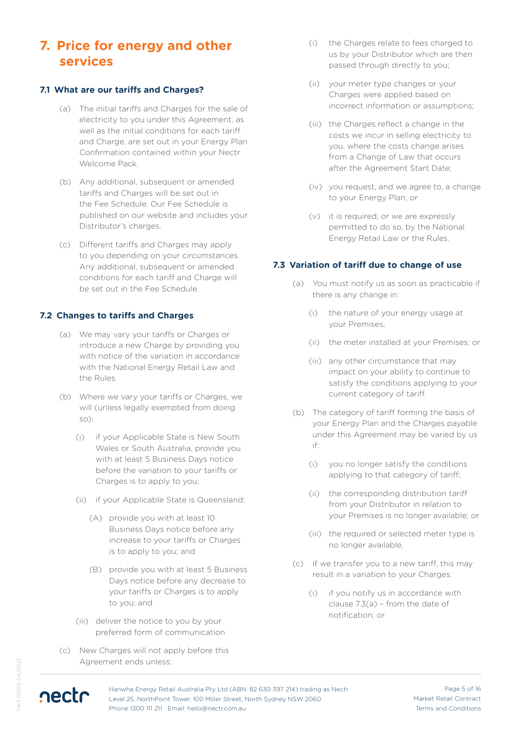## **7. Price for energy and other services**

#### **7.1 What are our tariffs and Charges?**

- (a) The initial tariffs and Charges for the sale of electricity to you under this Agreement, as well as the initial conditions for each tariff and Charge, are set out in your Energy Plan Confirmation contained within your Nectr Welcome Pack.
- (b) Any additional, subsequent or amended tariffs and Charges will be set out in the Fee Schedule. Our Fee Schedule is published on our website and includes your Distributor's charges.
- (c) Different tariffs and Charges may apply to you depending on your circumstances. Any additional, subsequent or amended conditions for each tariff and Charge will be set out in the Fee Schedule.

#### **7.2 Changes to tariffs and Charges**

- (a) We may vary your tariffs or Charges or introduce a new Charge by providing you with notice of the variation in accordance with the National Energy Retail Law and the Rules.
- (b) Where we vary your tariffs or Charges, we will (unless legally exempted from doing so):
	- (i) if your Applicable State is New South Wales or South Australia, provide you with at least 5 Business Days notice before the variation to your tariffs or Charges is to apply to you;
	- (ii) if your Applicable State is Queensland:
		- (A) provide you with at least 10 Business Days notice before any increase to your tariffs or Charges is to apply to you; and
		- (B) provide you with at least 5 Business Days notice before any decrease to your tariffs or Charges is to apply to you; and
	- (iii) deliver the notice to you by your preferred form of communication
- (c) New Charges will not apply before this Agreement ends unless:
- (i) the Charges relate to fees charged to us by your Distributor which are then passed through directly to you;
- (ii) your meter type changes or your Charges were applied based on incorrect information or assumptions;
- (iii) the Charges reflect a change in the costs we incur in selling electricity to you, where the costs change arises from a Change of Law that occurs after the Agreement Start Date;
- (iv) you request, and we agree to, a change to your Energy Plan; or
- (v) it is required, or we are expressly permitted to do so, by the National Energy Retail Law or the Rules.

#### **7.3 Variation of tariff due to change of use**

- (a) You must notify us as soon as practicable if there is any change in:
	- (i) the nature of your energy usage at your Premises;
	- (ii) the meter installed at your Premises; or
	- (iii) any other circumstance that may impact on your ability to continue to satisfy the conditions applying to your current category of tariff.
- (b) The category of tariff forming the basis of your Energy Plan and the Charges payable under this Agreement may be varied by us if:
	- (i) you no longer satisfy the conditions applying to that category of tariff;
	- (ii) the corresponding distribution tariff from your Distributor in relation to your Premises is no longer available; or
	- (iii) the required or selected meter type is no longer available.
- (c) If we transfer you to a new tariff, this may result in a variation to your Charges:
	- (i) if you notify us in accordance with clause 7.3(a) – from the date of notification; or

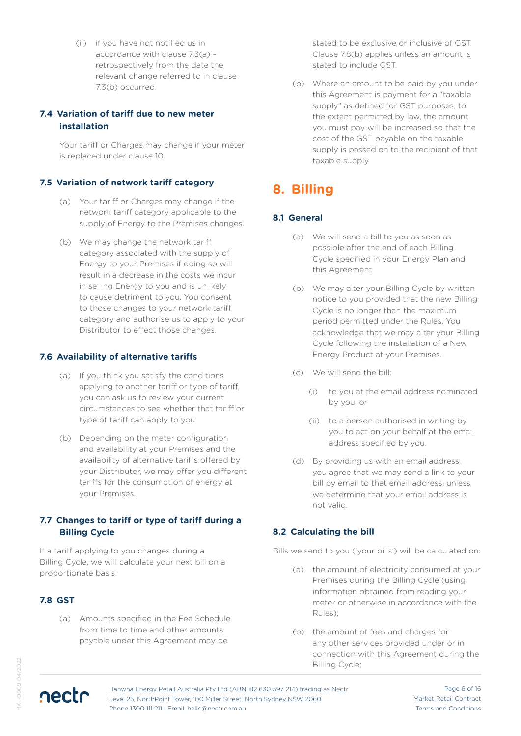(ii) if you have not notified us in accordance with clause 7.3(a) – retrospectively from the date the relevant change referred to in clause 7.3(b) occurred.

#### **7.4 Variation of tariff due to new meter installation**

Your tariff or Charges may change if your meter is replaced under clause 10.

#### **7.5 Variation of network tariff category**

- (a) Your tariff or Charges may change if the network tariff category applicable to the supply of Energy to the Premises changes.
- (b) We may change the network tariff category associated with the supply of Energy to your Premises if doing so will result in a decrease in the costs we incur in selling Energy to you and is unlikely to cause detriment to you. You consent to those changes to your network tariff category and authorise us to apply to your Distributor to effect those changes.

#### **7.6 Availability of alternative tariffs**

- (a) If you think you satisfy the conditions applying to another tariff or type of tariff, you can ask us to review your current circumstances to see whether that tariff or type of tariff can apply to you.
- (b) Depending on the meter configuration and availability at your Premises and the availability of alternative tariffs offered by your Distributor, we may offer you different tariffs for the consumption of energy at your Premises.

#### **7.7 Changes to tariff or type of tariff during a Billing Cycle**

If a tariff applying to you changes during a Billing Cycle, we will calculate your next bill on a proportionate basis.

#### **7.8 GST**

(a) Amounts specified in the Fee Schedule from time to time and other amounts payable under this Agreement may be

stated to be exclusive or inclusive of GST. Clause 7.8(b) applies unless an amount is stated to include GST.

(b) Where an amount to be paid by you under this Agreement is payment for a "taxable supply" as defined for GST purposes, to the extent permitted by law, the amount you must pay will be increased so that the cost of the GST payable on the taxable supply is passed on to the recipient of that taxable supply.

# **8. Billing**

#### **8.1 General**

- (a) We will send a bill to you as soon as possible after the end of each Billing Cycle specified in your Energy Plan and this Agreement.
- (b) We may alter your Billing Cycle by written notice to you provided that the new Billing Cycle is no longer than the maximum period permitted under the Rules. You acknowledge that we may alter your Billing Cycle following the installation of a New Energy Product at your Premises.
- (c) We will send the bill:
	- (i) to you at the email address nominated by you; or
	- (ii) to a person authorised in writing by you to act on your behalf at the email address specified by you.
- (d) By providing us with an email address, you agree that we may send a link to your bill by email to that email address, unless we determine that your email address is not valid.

#### **8.2 Calculating the bill**

Bills we send to you ('your bills') will be calculated on:

- (a) the amount of electricity consumed at your Premises during the Billing Cycle (using information obtained from reading your meter or otherwise in accordance with the Rules);
- (b) the amount of fees and charges for any other services provided under or in connection with this Agreement during the Billing Cycle;

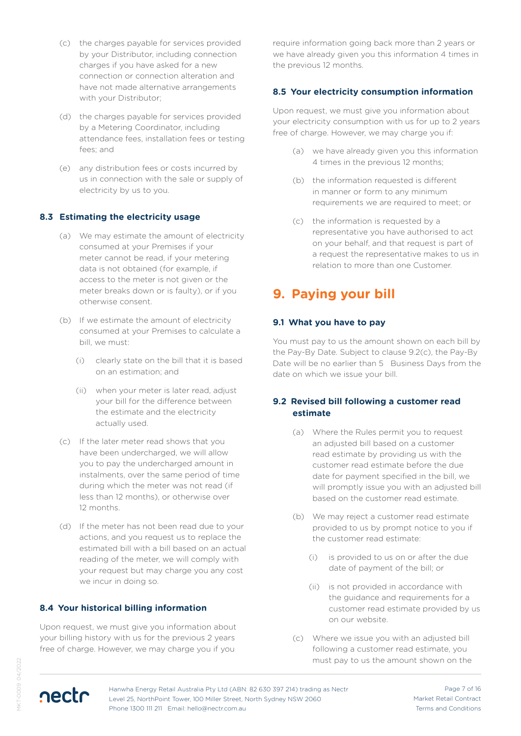- (c) the charges payable for services provided by your Distributor, including connection charges if you have asked for a new connection or connection alteration and have not made alternative arrangements with your Distributor;
- (d) the charges payable for services provided by a Metering Coordinator, including attendance fees, installation fees or testing fees; and
- (e) any distribution fees or costs incurred by us in connection with the sale or supply of electricity by us to you.

#### **8.3 Estimating the electricity usage**

- (a) We may estimate the amount of electricity consumed at your Premises if your meter cannot be read, if your metering data is not obtained (for example, if access to the meter is not given or the meter breaks down or is faulty), or if you otherwise consent.
- (b) If we estimate the amount of electricity consumed at your Premises to calculate a bill, we must:
	- (i) clearly state on the bill that it is based on an estimation; and
	- (ii) when your meter is later read, adjust your bill for the difference between the estimate and the electricity actually used.
- (c) If the later meter read shows that you have been undercharged, we will allow you to pay the undercharged amount in instalments, over the same period of time during which the meter was not read (if less than 12 months), or otherwise over 12 months.
- (d) If the meter has not been read due to your actions, and you request us to replace the estimated bill with a bill based on an actual reading of the meter, we will comply with your request but may charge you any cost we incur in doing so.

#### **8.4 Your historical billing information**

Upon request, we must give you information about your billing history with us for the previous 2 years free of charge. However, we may charge you if you

require information going back more than 2 years or we have already given you this information 4 times in the previous 12 months.

#### **8.5 Your electricity consumption information**

Upon request, we must give you information about your electricity consumption with us for up to 2 years free of charge. However, we may charge you if:

- (a) we have already given you this information 4 times in the previous 12 months;
- (b) the information requested is different in manner or form to any minimum requirements we are required to meet; or
- (c) the information is requested by a representative you have authorised to act on your behalf, and that request is part of a request the representative makes to us in relation to more than one Customer.

### **9. Paying your bill**

#### **9.1 What you have to pay**

You must pay to us the amount shown on each bill by the Pay-By Date. Subject to clause 9.2(c), the Pay-By Date will be no earlier than 5 Business Days from the date on which we issue your bill.

#### **9.2 Revised bill following a customer read estimate**

- (a) Where the Rules permit you to request an adjusted bill based on a customer read estimate by providing us with the customer read estimate before the due date for payment specified in the bill, we will promptly issue you with an adjusted bill based on the customer read estimate.
- (b) We may reject a customer read estimate provided to us by prompt notice to you if the customer read estimate:
	- (i) is provided to us on or after the due date of payment of the bill; or
	- (ii) is not provided in accordance with the guidance and requirements for a customer read estimate provided by us on our website.
- (c) Where we issue you with an adjusted bill following a customer read estimate, you must pay to us the amount shown on the

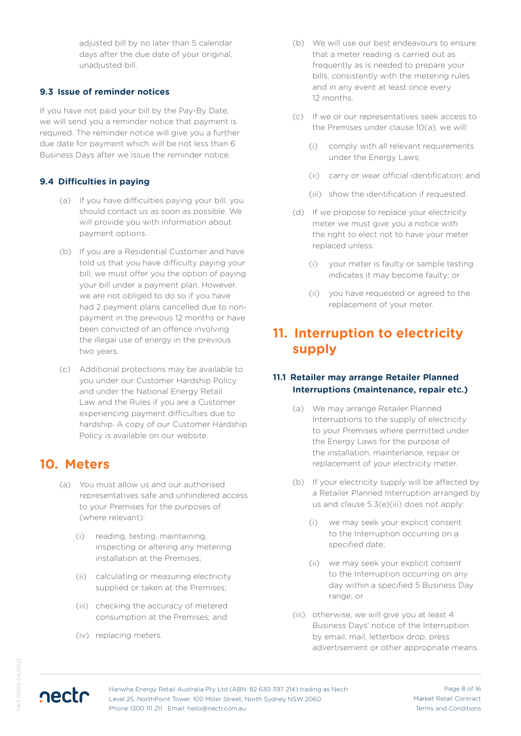adjusted bill by no later than 5 calendar days after the due date of your original, unadiusted bill.

#### **9.3 Issue of reminder notices**

If you have not paid your bill by the Pay-By Date, we will send you a reminder notice that payment is required. The reminder notice will give you a further due date for payment which will be not less than 6 Business Days after we issue the reminder notice.

#### **9.4 Difficulties in paying**

- (a) If you have difficulties paying your bill, you should contact us as soon as possible. We will provide you with information about payment options.
- (b) If you are a Residential Customer and have told us that you have difficulty paying your bill, we must offer you the option of paying your bill under a payment plan. However, we are not obliged to do so if you have had 2 payment plans cancelled due to nonpayment in the previous 12 months or have been convicted of an offence involving the illegal use of energy in the previous two years.
- (c) Additional protections may be available to you under our Customer Hardship Policy and under the National Energy Retail Law and the Rules if you are a Customer experiencing payment difficulties due to hardship. A copy of our Customer Hardship Policy is available on our website.

### **10. Meters**

- (a) You must allow us and our authorised representatives safe and unhindered access to your Premises for the purposes of (where relevant):
	- (i) reading, testing, maintaining, inspecting or altering any metering installation at the Premises;
	- (ii) calculating or measuring electricity supplied or taken at the Premises;
	- (iii) checking the accuracy of metered consumption at the Premises; and
	- (iv) replacing meters.
- (b) We will use our best endeavours to ensure that a meter reading is carried out as frequently as is needed to prepare your bills, consistently with the metering rules and in any event at least once every 12 months.
- (c) If we or our representatives seek access to the Premises under clause 10(a), we will:
	- (i) comply with all relevant requirements under the Energy Laws;
	- (ii) carry or wear official identification; and
	- (iii) show the identification if requested.
- (d) If we propose to replace your electricity meter we must give you a notice with the right to elect not to have your meter replaced unless:
	- (i) your meter is faulty or sample testing indicates it may become faulty; or
	- (ii) you have requested or agreed to the replacement of your meter.

# **11. Interruption to electricity supply**

#### **11.1 Retailer may arrange Retailer Planned Interruptions (maintenance, repair etc.)**

- (a) We may arrange Retailer Planned Interruptions to the supply of electricity to your Premises where permitted under the Energy Laws for the purpose of the installation, maintenance, repair or replacement of your electricity meter.
- (b) If your electricity supply will be affected by a Retailer Planned Interruption arranged by us and clause 5.3(e)(iii) does not apply:
	- (i) we may seek your explicit consent to the Interruption occurring on a specified date;
	- (ii) we may seek your explicit consent to the Interruption occurring on any day within a specified 5 Business Day range; or
- (iii) otherwise, we will give you at least 4 Business Days' notice of the Interruption by email, mail, letterbox drop, press advertisement or other appropriate means.

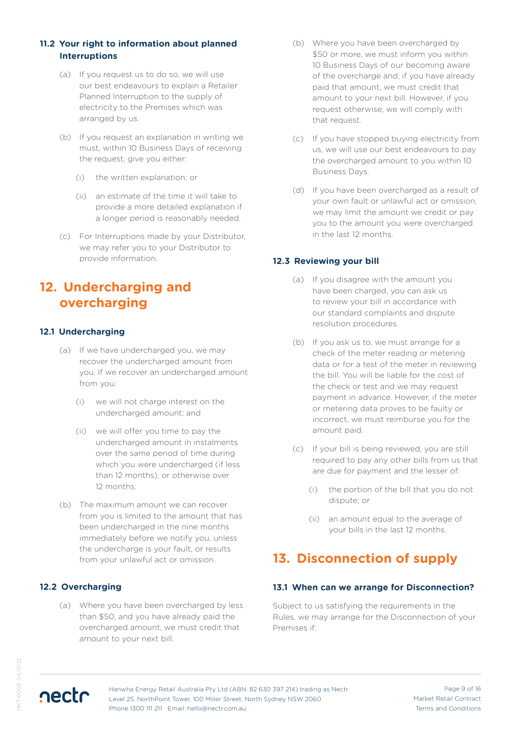### **11.2 Your right to information about planned Interruptions**

- (a) If you request us to do so, we will use our best endeavours to explain a Retailer Planned Interruption to the supply of electricity to the Premises which was arranged by us.
- (b) If you request an explanation in writing we must, within 10 Business Days of receiving the request, give you either:
	- (i) the written explanation; or
	- (ii) an estimate of the time it will take to provide a more detailed explanation if a longer period is reasonably needed.
- (c) For Interruptions made by your Distributor, we may refer you to your Distributor to provide information.

# **12. Undercharging and overcharging**

### **12.1 Undercharging**

- (a) If we have undercharged you, we may recover the undercharged amount from you. If we recover an undercharged amount from you:
	- (i) we will not charge interest on the undercharged amount; and
	- (ii) we will offer you time to pay the undercharged amount in instalments over the same period of time during which you were undercharged (if less than 12 months), or otherwise over 12 months.
- (b) The maximum amount we can recover from you is limited to the amount that has been undercharged in the nine months immediately before we notify you, unless the undercharge is your fault, or results from your unlawful act or omission.

### **12.2 Overcharging**

nectr

(a) Where you have been overcharged by less than \$50, and you have already paid the overcharged amount, we must credit that amount to your next bill.

- (b) Where you have been overcharged by \$50 or more, we must inform you within 10 Business Days of our becoming aware of the overcharge and, if you have already paid that amount, we must credit that amount to your next bill. However, if you request otherwise, we will comply with that request.
- (c) If you have stopped buying electricity from us, we will use our best endeavours to pay the overcharged amount to you within 10 Business Days.
- (d) If you have been overcharged as a result of your own fault or unlawful act or omission, we may limit the amount we credit or pay you to the amount you were overcharged in the last 12 months.

### **12.3 Reviewing your bill**

- (a) If you disagree with the amount you have been charged, you can ask us to review your bill in accordance with our standard complaints and dispute resolution procedures.
- (b) If you ask us to, we must arrange for a check of the meter reading or metering data or for a test of the meter in reviewing the bill. You will be liable for the cost of the check or test and we may request payment in advance. However, if the meter or metering data proves to be faulty or incorrect, we must reimburse you for the amount paid.
- (c) If your bill is being reviewed, you are still required to pay any other bills from us that are due for payment and the lesser of:
	- (i) the portion of the bill that you do not dispute; or
	- (ii) an amount equal to the average of your bills in the last 12 months.

# **13. Disconnection of supply**

#### **13.1 When can we arrange for Disconnection?**

Subject to us satisfying the requirements in the Rules, we may arrange for the Disconnection of your Premises if:

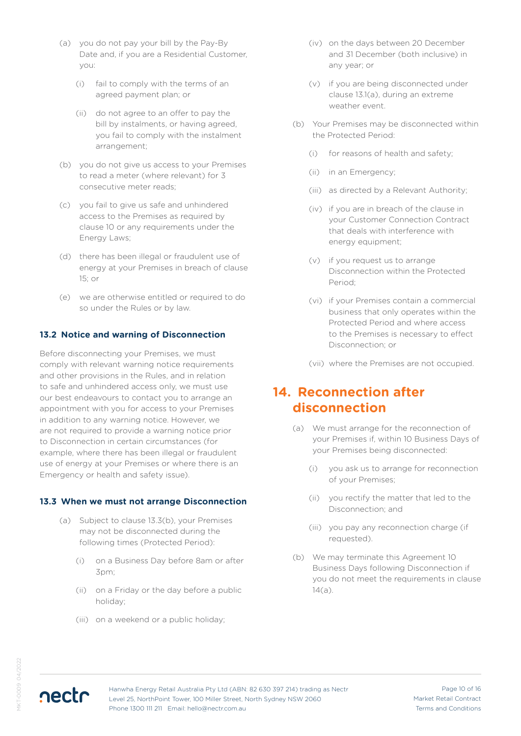- (a) you do not pay your bill by the Pay-By Date and, if you are a Residential Customer, you:
	- (i) fail to comply with the terms of an agreed payment plan; or
	- (ii) do not agree to an offer to pay the bill by instalments, or having agreed, you fail to comply with the instalment arrangement;
- (b) you do not give us access to your Premises to read a meter (where relevant) for 3 consecutive meter reads;
- (c) you fail to give us safe and unhindered access to the Premises as required by clause 10 or any requirements under the Energy Laws;
- (d) there has been illegal or fraudulent use of energy at your Premises in breach of clause 15; or
- (e) we are otherwise entitled or required to do so under the Rules or by law.

#### **13.2 Notice and warning of Disconnection**

Before disconnecting your Premises, we must comply with relevant warning notice requirements and other provisions in the Rules, and in relation to safe and unhindered access only, we must use our best endeavours to contact you to arrange an appointment with you for access to your Premises in addition to any warning notice. However, we are not required to provide a warning notice prior to Disconnection in certain circumstances (for example, where there has been illegal or fraudulent use of energy at your Premises or where there is an Emergency or health and safety issue).

#### **13.3 When we must not arrange Disconnection**

- (a) Subject to clause 13.3(b), your Premises may not be disconnected during the following times (Protected Period):
	- (i) on a Business Day before 8am or after 3pm;
	- (ii) on a Friday or the day before a public holiday;
	- (iii) on a weekend or a public holiday;
- (iv) on the days between 20 December and 31 December (both inclusive) in any year; or
- (v) if you are being disconnected under clause 13.1(a), during an extreme weather event.
- (b) Your Premises may be disconnected within the Protected Period:
	- (i) for reasons of health and safety;
	- (ii) in an Emergency;
	- (iii) as directed by a Relevant Authority;
	- (iv) if you are in breach of the clause in your Customer Connection Contract that deals with interference with energy equipment;
	- (v) if you request us to arrange Disconnection within the Protected Period;
	- (vi) if your Premises contain a commercial business that only operates within the Protected Period and where access to the Premises is necessary to effect Disconnection; or
	- (vii) where the Premises are not occupied.

### **14. Reconnection after disconnection**

- (a) We must arrange for the reconnection of your Premises if, within 10 Business Days of your Premises being disconnected:
	- (i) you ask us to arrange for reconnection of your Premises;
	- (ii) you rectify the matter that led to the Disconnection; and
	- (iii) you pay any reconnection charge (if requested).
- (b) We may terminate this Agreement 10 Business Days following Disconnection if you do not meet the requirements in clause  $14(a)$ .

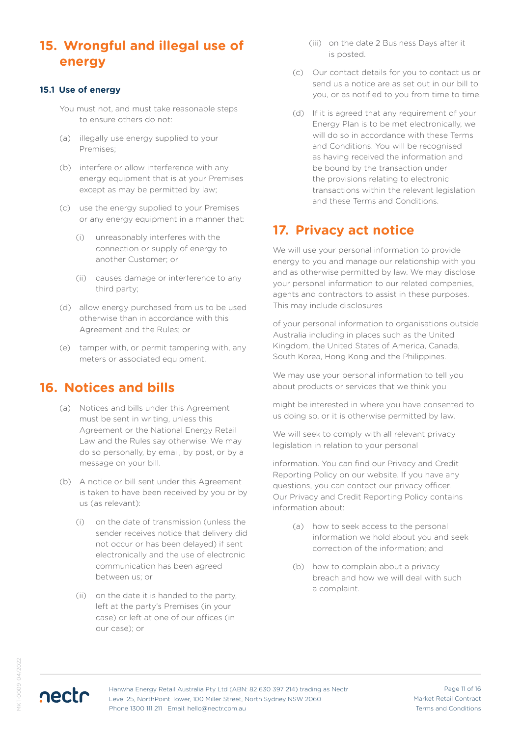# **15. Wrongful and illegal use of energy**

#### **15.1 Use of energy**

- You must not, and must take reasonable steps to ensure others do not:
- (a) illegally use energy supplied to your Premises;
- (b) interfere or allow interference with any energy equipment that is at your Premises except as may be permitted by law;
- (c) use the energy supplied to your Premises or any energy equipment in a manner that:
	- (i) unreasonably interferes with the connection or supply of energy to another Customer; or
	- (ii) causes damage or interference to any third party;
- (d) allow energy purchased from us to be used otherwise than in accordance with this Agreement and the Rules; or
- (e) tamper with, or permit tampering with, any meters or associated equipment.

### **16. Notices and bills**

- (a) Notices and bills under this Agreement must be sent in writing, unless this Agreement or the National Energy Retail Law and the Rules say otherwise. We may do so personally, by email, by post, or by a message on your bill.
- (b) A notice or bill sent under this Agreement is taken to have been received by you or by us (as relevant):
	- (i) on the date of transmission (unless the sender receives notice that delivery did not occur or has been delayed) if sent electronically and the use of electronic communication has been agreed between us; or
	- (ii) on the date it is handed to the party, left at the party's Premises (in your case) or left at one of our offices (in our case); or
- (iii) on the date 2 Business Days after it is posted.
- (c) Our contact details for you to contact us or send us a notice are as set out in our bill to you, or as notified to you from time to time.
- (d) If it is agreed that any requirement of your Energy Plan is to be met electronically, we will do so in accordance with these Terms and Conditions. You will be recognised as having received the information and be bound by the transaction under the provisions relating to electronic transactions within the relevant legislation and these Terms and Conditions.

# **17. Privacy act notice**

We will use your personal information to provide energy to you and manage our relationship with you and as otherwise permitted by law. We may disclose your personal information to our related companies, agents and contractors to assist in these purposes. This may include disclosures

of your personal information to organisations outside Australia including in places such as the United Kingdom, the United States of America, Canada, South Korea, Hong Kong and the Philippines.

We may use your personal information to tell you about products or services that we think you

might be interested in where you have consented to us doing so, or it is otherwise permitted by law.

We will seek to comply with all relevant privacy legislation in relation to your personal

information. You can find our Privacy and Credit Reporting Policy on our website. If you have any questions, you can contact our privacy officer. Our Privacy and Credit Reporting Policy contains information about:

- (a) how to seek access to the personal information we hold about you and seek correction of the information; and
- (b) how to complain about a privacy breach and how we will deal with such a complaint.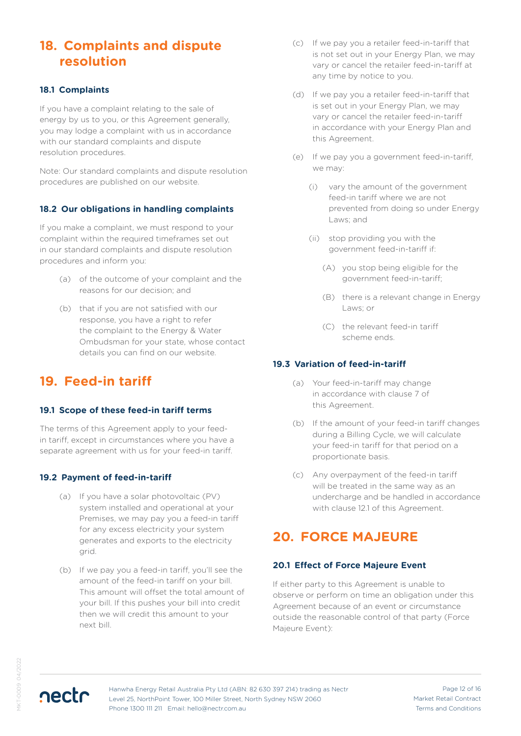# **18. Complaints and dispute resolution**

#### **18.1 Complaints**

If you have a complaint relating to the sale of energy by us to you, or this Agreement generally, you may lodge a complaint with us in accordance with our standard complaints and dispute resolution procedures.

Note: Our standard complaints and dispute resolution procedures are published on our website.

### **18.2 Our obligations in handling complaints**

If you make a complaint, we must respond to your complaint within the required timeframes set out in our standard complaints and dispute resolution procedures and inform you:

- (a) of the outcome of your complaint and the reasons for our decision; and
- (b) that if you are not satisfied with our response, you have a right to refer the complaint to the Energy & Water Ombudsman for your state, whose contact details you can find on our website.

# **19. Feed-in tariff**

#### **19.1 Scope of these feed-in tariff terms**

The terms of this Agreement apply to your feedin tariff, except in circumstances where you have a separate agreement with us for your feed-in tariff.

### **19.2 Payment of feed-in-tariff**

- (a) If you have a solar photovoltaic (PV) system installed and operational at your Premises, we may pay you a feed-in tariff for any excess electricity your system generates and exports to the electricity grid.
- (b) If we pay you a feed-in tariff, you'll see the amount of the feed-in tariff on your bill. This amount will offset the total amount of your bill. If this pushes your bill into credit then we will credit this amount to your next bill.
- (c) If we pay you a retailer feed-in-tariff that is not set out in your Energy Plan, we may vary or cancel the retailer feed-in-tariff at any time by notice to you.
- (d) If we pay you a retailer feed-in-tariff that is set out in your Energy Plan, we may vary or cancel the retailer feed-in-tariff in accordance with your Energy Plan and this Agreement.
- (e) If we pay you a government feed-in-tariff, we may:
	- (i) vary the amount of the government feed-in tariff where we are not prevented from doing so under Energy Laws; and
	- (ii) stop providing you with the government feed-in-tariff if:
		- (A) you stop being eligible for the government feed-in-tariff;
		- (B) there is a relevant change in Energy Laws; or
		- (C) the relevant feed-in tariff scheme ends.

### **19.3 Variation of feed-in-tariff**

- (a) Your feed-in-tariff may change in accordance with clause 7 of this Agreement.
- (b) If the amount of your feed-in tariff changes during a Billing Cycle, we will calculate your feed-in tariff for that period on a proportionate basis.
- (c) Any overpayment of the feed-in tariff will be treated in the same way as an undercharge and be handled in accordance with clause 12.1 of this Agreement.

# **20. FORCE MAJEURE**

#### **20.1 Effect of Force Majeure Event**

If either party to this Agreement is unable to observe or perform on time an obligation under this Agreement because of an event or circumstance outside the reasonable control of that party (Force Majeure Event):

nectr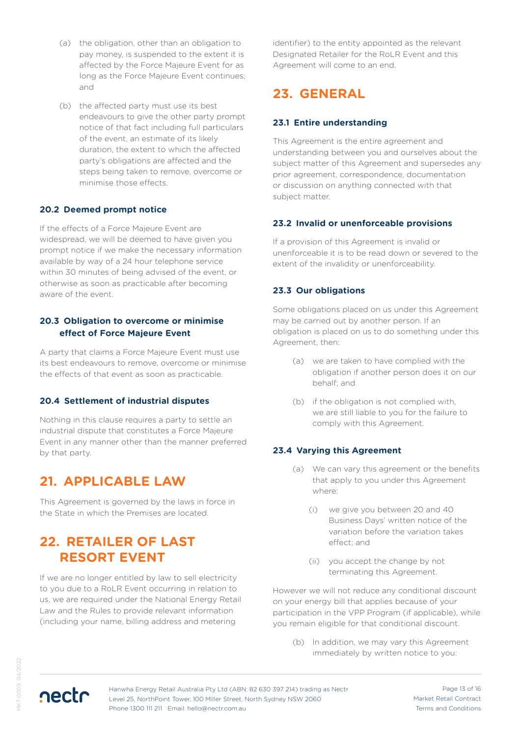- (a) the obligation, other than an obligation to pay money, is suspended to the extent it is affected by the Force Majeure Event for as long as the Force Majeure Event continues; and
- (b) the affected party must use its best endeavours to give the other party prompt notice of that fact including full particulars of the event, an estimate of its likely duration, the extent to which the affected party's obligations are affected and the steps being taken to remove, overcome or minimise those effects.

### **20.2 Deemed prompt notice**

If the effects of a Force Majeure Event are widespread, we will be deemed to have given you prompt notice if we make the necessary information available by way of a 24 hour telephone service within 30 minutes of being advised of the event, or otherwise as soon as practicable after becoming aware of the event.

#### **20.3 Obligation to overcome or minimise effect of Force Majeure Event**

A party that claims a Force Majeure Event must use its best endeavours to remove, overcome or minimise the effects of that event as soon as practicable.

### **20.4 Settlement of industrial disputes**

Nothing in this clause requires a party to settle an industrial dispute that constitutes a Force Majeure Event in any manner other than the manner preferred by that party.

# **21. APPLICABLE LAW**

This Agreement is governed by the laws in force in the State in which the Premises are located.

# **22. RETAILER OF LAST RESORT EVENT**

If we are no longer entitled by law to sell electricity to you due to a RoLR Event occurring in relation to us, we are required under the National Energy Retail Law and the Rules to provide relevant information (including your name, billing address and metering

identifier) to the entity appointed as the relevant Designated Retailer for the RoLR Event and this Agreement will come to an end.

# **23. GENERAL**

### **23.1 Entire understanding**

This Agreement is the entire agreement and understanding between you and ourselves about the subject matter of this Agreement and supersedes any prior agreement, correspondence, documentation or discussion on anything connected with that subject matter.

### **23.2 Invalid or unenforceable provisions**

If a provision of this Agreement is invalid or unenforceable it is to be read down or severed to the extent of the invalidity or unenforceability.

#### **23.3 Our obligations**

Some obligations placed on us under this Agreement may be carried out by another person. If an obligation is placed on us to do something under this Agreement, then:

- (a) we are taken to have complied with the obligation if another person does it on our behalf; and
- (b) if the obligation is not complied with, we are still liable to you for the failure to comply with this Agreement.

#### **23.4 Varying this Agreement**

- (a) We can vary this agreement or the benefits that apply to you under this Agreement where:
	- (i) we give you between 20 and 40 Business Days' written notice of the variation before the variation takes effect; and
	- (ii) you accept the change by not terminating this Agreement.

However we will not reduce any conditional discount on your energy bill that applies because of your participation in the VPP Program (if applicable), while you remain eligible for that conditional discount.

(b) In addition, we may vary this Agreement immediately by written notice to you:

KT-0009 04/2022 MKT-0009 04/2022



Page 13 of 16 Market Retail Contract Terms and Conditions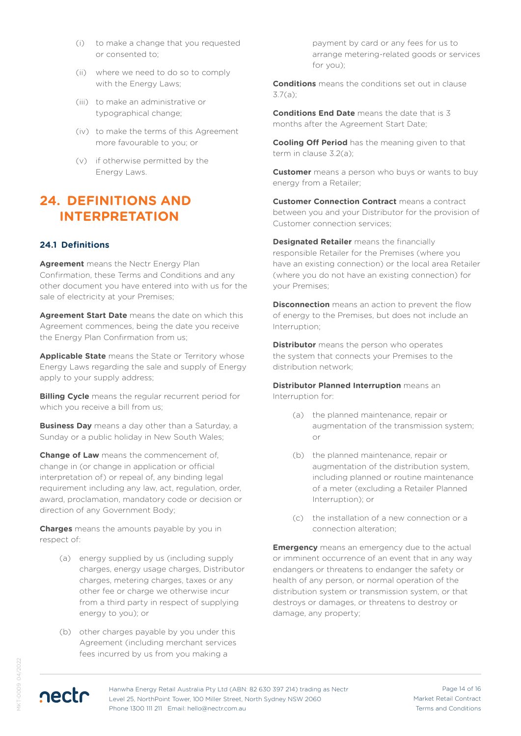- (i) to make a change that you requested or consented to;
- (ii) where we need to do so to comply with the Energy Laws:
- (iii) to make an administrative or typographical change;
- (iv) to make the terms of this Agreement more favourable to you; or
- (v) if otherwise permitted by the Energy Laws.

### **24. DEFINITIONS AND INTERPRETATION**

#### **24.1 Definitions**

**Agreement** means the Nectr Energy Plan Confirmation, these Terms and Conditions and any other document you have entered into with us for the sale of electricity at your Premises;

**Agreement Start Date** means the date on which this Agreement commences, being the date you receive the Energy Plan Confirmation from us;

**Applicable State** means the State or Territory whose Energy Laws regarding the sale and supply of Energy apply to your supply address;

**Billing Cycle** means the regular recurrent period for which you receive a bill from us;

**Business Day** means a day other than a Saturday, a Sunday or a public holiday in New South Wales;

**Change of Law** means the commencement of, change in (or change in application or official interpretation of) or repeal of, any binding legal requirement including any law, act, regulation, order, award, proclamation, mandatory code or decision or direction of any Government Body;

**Charges** means the amounts payable by you in respect of:

- (a) energy supplied by us (including supply charges, energy usage charges, Distributor charges, metering charges, taxes or any other fee or charge we otherwise incur from a third party in respect of supplying energy to you); or
- (b) other charges payable by you under this Agreement (including merchant services fees incurred by us from you making a

payment by card or any fees for us to arrange metering-related goods or services for you);

**Conditions** means the conditions set out in clause 3.7(a);

**Conditions End Date** means the date that is 3 months after the Agreement Start Date;

**Cooling Off Period** has the meaning given to that term in clause 3.2(a);

**Customer** means a person who buys or wants to buy energy from a Retailer;

**Customer Connection Contract** means a contract between you and your Distributor for the provision of Customer connection services;

**Designated Retailer** means the financially responsible Retailer for the Premises (where you have an existing connection) or the local area Retailer (where you do not have an existing connection) for your Premises;

**Disconnection** means an action to prevent the flow of energy to the Premises, but does not include an Interruption;

**Distributor** means the person who operates the system that connects your Premises to the distribution network;

**Distributor Planned Interruption** means an Interruption for:

- (a) the planned maintenance, repair or augmentation of the transmission system; or
- (b) the planned maintenance, repair or augmentation of the distribution system, including planned or routine maintenance of a meter (excluding a Retailer Planned Interruption); or
- (c) the installation of a new connection or a connection alteration;

**Emergency** means an emergency due to the actual or imminent occurrence of an event that in any way endangers or threatens to endanger the safety or health of any person, or normal operation of the distribution system or transmission system, or that destroys or damages, or threatens to destroy or damage, any property;

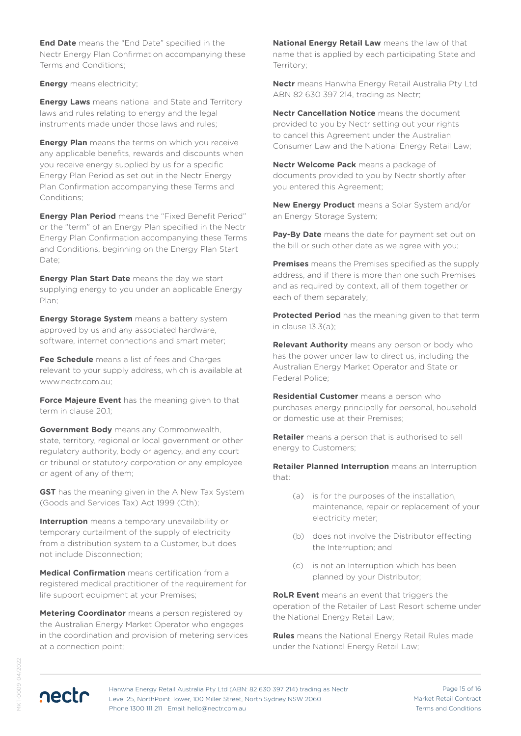**End Date** means the "End Date" specified in the Nectr Energy Plan Confirmation accompanying these Terms and Conditions;

**Energy** means electricity;

**Energy Laws** means national and State and Territory laws and rules relating to energy and the legal instruments made under those laws and rules;

**Energy Plan** means the terms on which you receive any applicable benefits, rewards and discounts when you receive energy supplied by us for a specific Energy Plan Period as set out in the Nectr Energy Plan Confirmation accompanying these Terms and Conditions;

**Energy Plan Period** means the "Fixed Benefit Period" or the "term" of an Energy Plan specified in the Nectr Energy Plan Confirmation accompanying these Terms and Conditions, beginning on the Energy Plan Start Date;

**Energy Plan Start Date** means the day we start supplying energy to you under an applicable Energy Plan;

**Energy Storage System** means a battery system approved by us and any associated hardware, software, internet connections and smart meter;

**Fee Schedule** means a list of fees and Charges relevant to your supply address, which is available at www.nectr.com.au;

**Force Majeure Event** has the meaning given to that term in clause 2015

**Government Body** means any Commonwealth, state, territory, regional or local government or other regulatory authority, body or agency, and any court or tribunal or statutory corporation or any employee or agent of any of them;

**GST** has the meaning given in the A New Tax System (Goods and Services Tax) Act 1999 (Cth);

**Interruption** means a temporary unavailability or temporary curtailment of the supply of electricity from a distribution system to a Customer, but does not include Disconnection;

**Medical Confirmation** means certification from a registered medical practitioner of the requirement for life support equipment at your Premises;

**Metering Coordinator** means a person registered by the Australian Energy Market Operator who engages in the coordination and provision of metering services at a connection point;

**National Energy Retail Law** means the law of that name that is applied by each participating State and Territory;

**Nectr** means Hanwha Energy Retail Australia Pty Ltd ABN 82 630 397 214, trading as Nectr;

**Nectr Cancellation Notice** means the document provided to you by Nectr setting out your rights to cancel this Agreement under the Australian Consumer Law and the National Energy Retail Law;

**Nectr Welcome Pack** means a package of documents provided to you by Nectr shortly after you entered this Agreement;

**New Energy Product** means a Solar System and/or an Energy Storage System;

**Pay-By Date** means the date for payment set out on the bill or such other date as we agree with you;

**Premises** means the Premises specified as the supply address, and if there is more than one such Premises and as required by context, all of them together or each of them separately;

**Protected Period** has the meaning given to that term in clause 13.3(a);

**Relevant Authority** means any person or body who has the power under law to direct us, including the Australian Energy Market Operator and State or Federal Police;

**Residential Customer** means a person who purchases energy principally for personal, household or domestic use at their Premises;

**Retailer** means a person that is authorised to sell energy to Customers;

**Retailer Planned Interruption** means an Interruption that:

- (a) is for the purposes of the installation, maintenance, repair or replacement of your electricity meter;
- (b) does not involve the Distributor effecting the Interruption; and
- (c) is not an Interruption which has been planned by your Distributor;

**RoLR Event** means an event that triggers the operation of the Retailer of Last Resort scheme under the National Energy Retail Law;

**Rules** means the National Energy Retail Rules made under the National Energy Retail Law;

KT-0009 04/2022 MKT-0009 04/2022



Page 15 of 16 Market Retail Contract Terms and Conditions